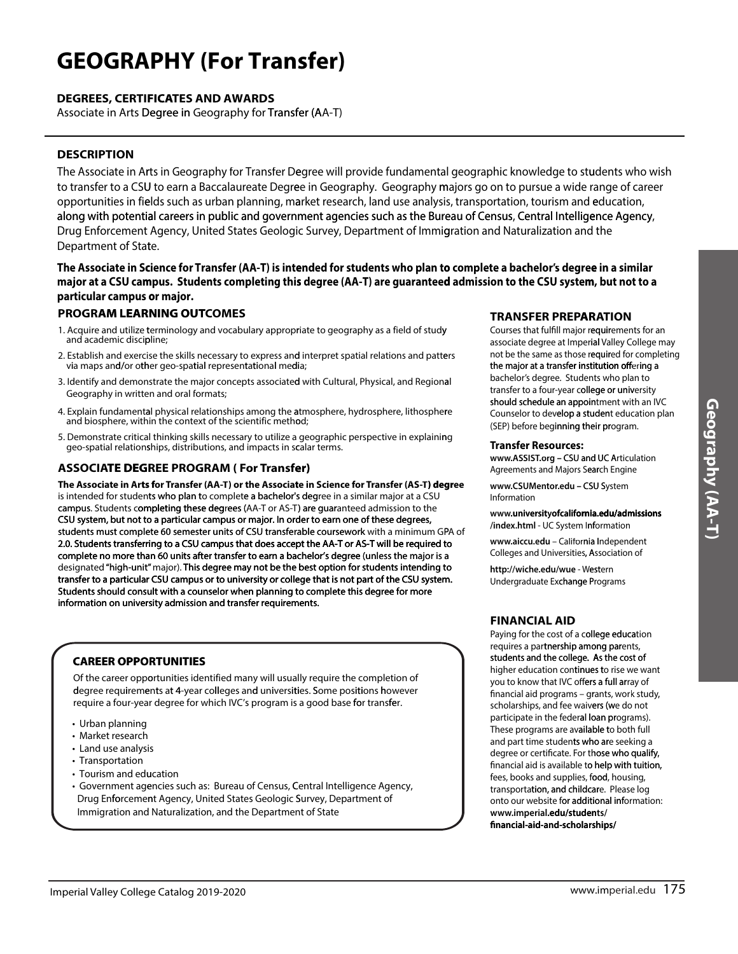## **GEOGRAPHY (For Transfer)**

## **DEGREES, CERTIFICATES AND AWARDS**

Associate in Arts Degree in Geography for Transfer (AA-T)

## **DESCRIPTION**

The Associate in Arts in Geography for Transfer Degree will provide fundamental geographic knowledge to students who wish to transfer to a CSU to earn a Baccalaureate Degree in Geography. Geography majors go on to pursue a wide range of career opportunities in fields such as urban planning, market research, land use analysis, transportation, tourism and education, along with potential careers in public and government agencies such as the Bureau of Census, Central Intelligence Agency, Drug Enforcement Agency, United States Geologic Survey, Department of Immigration and Naturalization and the Department of State.

The Associate in Science for Transfer (AA-T) is intended for students who plan to complete a bachelor's degree in a similar major at a CSU campus. Students completing this degree (AA-T) are guaranteed admission to the CSU system, but not to a particular campus or major.

### **PROGRAM LEARNING OUTCOMES**

- 1. Acquire and utilize terminology and vocabulary appropriate to geography as a field of study and academic discipline:
- 2. Establish and exercise the skills necessary to express and interpret spatial relations and patters via maps and/or other geo-spatial representational media;
- 3. Identify and demonstrate the major concepts associated with Cultural, Physical, and Regional Geography in written and oral formats;
- 4. Explain fundamental physical relationships among the atmosphere, hydrosphere, lithosphere and biosphere, within the context of the scientific method;
- 5. Demonstrate critical thinking skills necessary to utilize a geographic perspective in explaining geo-spatial relationships, distributions, and impacts in scalar terms.

## **ASSOCIATE DEGREE PROGRAM (For Transfer)**

The Associate in Arts for Transfer (AA-T) or the Associate in Science for Transfer (AS-T) degree is intended for students who plan to complete a bachelor's degree in a similar major at a CSU campus. Students completing these degrees (AA-T or AS-T) are guaranteed admission to the CSU system, but not to a particular campus or major. In order to earn one of these degrees, students must complete 60 semester units of CSU transferable coursework with a minimum GPA of 2.0. Students transferring to a CSU campus that does accept the AA-T or AS-T will be required to complete no more than 60 units after transfer to earn a bachelor's degree (unless the major is a designated "high-unit" major). This degree may not be the best option for students intending to transfer to a particular CSU campus or to university or college that is not part of the CSU system. Students should consult with a counselor when planning to complete this degree for more information on university admission and transfer requirements.

## **CAREER OPPORTUNITIES**

Of the career opportunities identified many will usually require the completion of degree requirements at 4-year colleges and universities. Some positions however require a four-year degree for which IVC's program is a good base for transfer.

- Urban planning
- Market research
- Land use analysis
- Transportation
- Tourism and education
- Government agencies such as: Bureau of Census, Central Intelligence Agency, Drug Enforcement Agency, United States Geologic Survey, Department of Immigration and Naturalization, and the Department of State

### **TRANSFER PREPARATION**

Courses that fulfill major requirements for an associate degree at Imperial Valley College may not be the same as those required for completing the major at a transfer institution offering a bachelor's degree. Students who plan to transfer to a four-year college or university should schedule an appointment with an IVC Counselor to develop a student education plan (SEP) before beginning their program.

#### **Transfer Resources:**

www.ASSIST.org - CSU and UC Articulation Agreements and Majors Search Engine

www.CSUMentor.edu - CSU System Information

www.universityofcalifornia.edu/admissions /index.html - UC System Information

www.aiccu.edu - California Independent Colleges and Universities, Association of

http://wiche.edu/wue - Western Undergraduate Exchange Programs

## **FINANCIAL AID**

Paying for the cost of a college education requires a partnership among parents. students and the college. As the cost of higher education continues to rise we want you to know that IVC offers a full array of financial aid programs - grants, work study, scholarships, and fee waivers (we do not participate in the federal loan programs). These programs are available to both full and part time students who are seeking a degree or certificate. For those who qualify, financial aid is available to help with tuition, fees, books and supplies, food, housing, transportation, and childcare. Please log onto our website for additional information: www.imperial.edu/students/ financial-aid-and-scholarships/